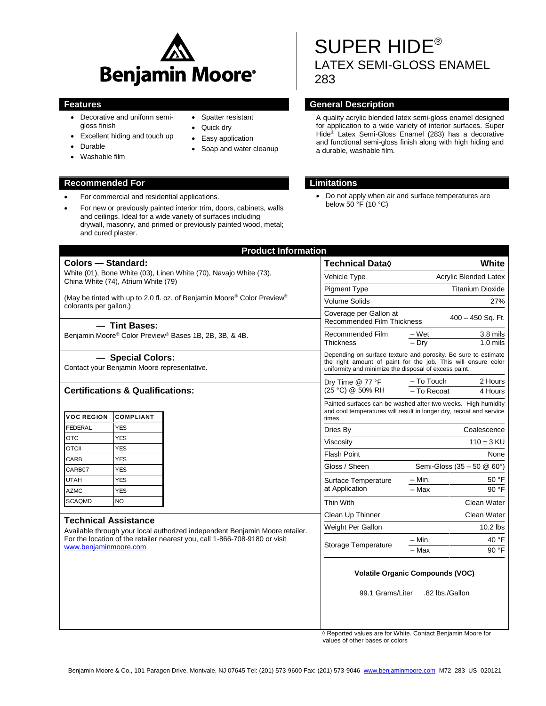

• Spatter resistant Quick dry • Easy application • Soap and water cleanup

- Decorative and uniform semigloss finish
- Excellent hiding and touch up
- Durable
- Washable film

### **Recommended For Limitations**

- For commercial and residential applications.
- For new or previously painted interior trim, doors, cabinets, walls and ceilings. Ideal for a wide variety of surfaces including drywall, masonry, and primed or previously painted wood, metal; and cured plaster.

SUPER HIDE® LATEX SEMI-GLOSS ENAMEL 283

# **Features General Description**

A quality acrylic blended latex semi-gloss enamel designed for application to a wide variety of interior surfaces. Super Hide® Latex Semi-Gloss Enamel (283) has a decorative and functional semi-gloss finish along with high hiding and a durable, washable film.

 Do not apply when air and surface temperatures are below 50 °F (10 °C)

|                                                                                                                                       | <b>Product Information</b> |                                                                                                                                                                                          |                              |                            |
|---------------------------------------------------------------------------------------------------------------------------------------|----------------------------|------------------------------------------------------------------------------------------------------------------------------------------------------------------------------------------|------------------------------|----------------------------|
| <b>Colors - Standard:</b><br>White (01), Bone White (03), Linen White (70), Navajo White (73),<br>China White (74), Atrium White (79) |                            | <b>Technical Data</b> ♦                                                                                                                                                                  |                              | White                      |
|                                                                                                                                       |                            | Vehicle Type                                                                                                                                                                             | <b>Acrylic Blended Latex</b> |                            |
|                                                                                                                                       |                            | <b>Pigment Type</b>                                                                                                                                                                      |                              | <b>Titanium Dioxide</b>    |
| (May be tinted with up to 2.0 fl. oz. of Benjamin Moore® Color Preview®<br>colorants per gallon.)                                     |                            | <b>Volume Solids</b>                                                                                                                                                                     |                              | 27%                        |
|                                                                                                                                       |                            | Coverage per Gallon at<br>$400 - 450$ Sq. Ft.<br><b>Recommended Film Thickness</b>                                                                                                       |                              |                            |
| - Tint Bases:<br>Benjamin Moore® Color Preview® Bases 1B, 2B, 3B, & 4B.                                                               |                            | Recommended Film<br>Thickness                                                                                                                                                            | – Wet                        | 3.8 mils                   |
|                                                                                                                                       |                            |                                                                                                                                                                                          | $-$ Drv                      | $1.0$ mils                 |
| - Special Colors:<br>Contact your Benjamin Moore representative.                                                                      |                            | Depending on surface texture and porosity. Be sure to estimate<br>the right amount of paint for the job. This will ensure color<br>uniformity and minimize the disposal of excess paint. |                              |                            |
| <b>Certifications &amp; Qualifications:</b>                                                                                           |                            | Dry Time @ 77 °F<br>(25 °C) @ 50% RH                                                                                                                                                     | - To Touch                   | 2 Hours                    |
|                                                                                                                                       |                            |                                                                                                                                                                                          | $-$ To Recoat                | 4 Hours                    |
| <b>VOC REGION</b><br><b>COMPLIANT</b>                                                                                                 |                            | Painted surfaces can be washed after two weeks. High humidity<br>and cool temperatures will result in longer dry, recoat and service<br>times.                                           |                              |                            |
| <b>FEDERAL</b><br><b>YES</b>                                                                                                          |                            | Dries By                                                                                                                                                                                 |                              | Coalescence                |
| <b>OTC</b><br><b>YES</b>                                                                                                              |                            | Viscositv                                                                                                                                                                                |                              | $110 \pm 3$ KU             |
| <b>OTCII</b><br><b>YES</b>                                                                                                            |                            | <b>Flash Point</b>                                                                                                                                                                       |                              | None                       |
| CARB<br><b>YES</b>                                                                                                                    |                            | Gloss / Sheen                                                                                                                                                                            |                              | Semi-Gloss (35 - 50 @ 60°) |
| CARB07<br><b>YES</b>                                                                                                                  |                            |                                                                                                                                                                                          |                              |                            |
| <b>UTAH</b><br><b>YES</b>                                                                                                             |                            | Surface Temperature<br>at Application                                                                                                                                                    | – Min.<br>- Max              | 50 °F<br>90 °F             |
| <b>AZMC</b><br><b>YES</b><br><b>NO</b><br><b>SCAQMD</b>                                                                               |                            |                                                                                                                                                                                          |                              |                            |
|                                                                                                                                       |                            | Thin With                                                                                                                                                                                |                              | Clean Water                |
| <b>Technical Assistance</b><br>Available through your local authorized independent Benjamin Moore retailer.                           |                            | Clean Up Thinner                                                                                                                                                                         |                              | Clean Water                |
|                                                                                                                                       |                            | Weight Per Gallon                                                                                                                                                                        |                              | $10.2$ lbs                 |
| For the location of the retailer nearest you, call 1-866-708-9180 or visit                                                            |                            |                                                                                                                                                                                          | – Min.                       | 40 °F                      |
| www.benjaminmoore.com                                                                                                                 |                            | Storage Temperature                                                                                                                                                                      | $-Max$                       | 90 °F                      |
|                                                                                                                                       |                            | <b>Volatile Organic Compounds (VOC)</b><br>.82 lbs./Gallon<br>99.1 Grams/Liter                                                                                                           |                              |                            |

◊ Reported values are for White. Contact Benjamin Moore for values of other bases or colors